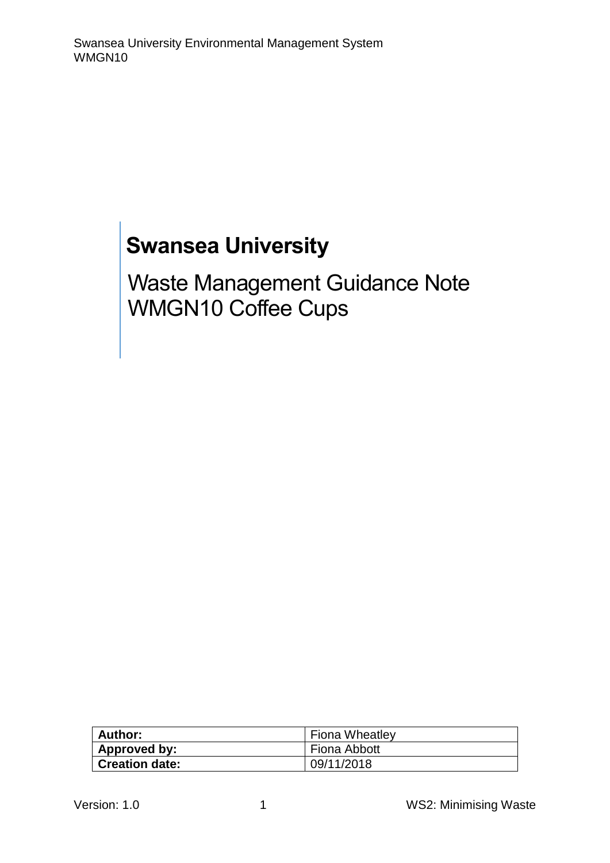# **Swansea University**

Waste Management Guidance Note WMGN10 Coffee Cups

| <b>Author:</b>        | <b>Fiona Wheatley</b> |
|-----------------------|-----------------------|
| Approved by:          | Fiona Abbott          |
| <b>Creation date:</b> | 09/11/2018            |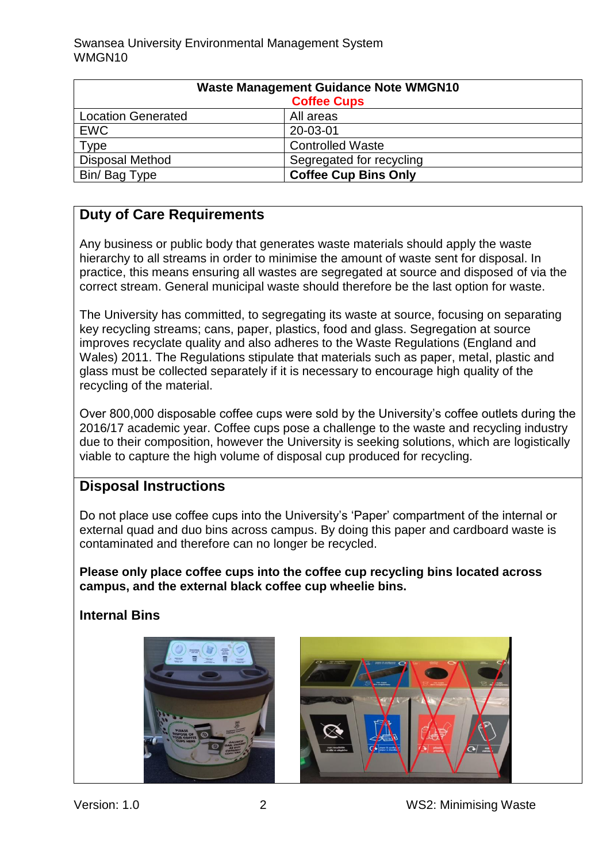| <b>Waste Management Guidance Note WMGN10</b> |                             |
|----------------------------------------------|-----------------------------|
| <b>Coffee Cups</b>                           |                             |
| <b>Location Generated</b>                    | All areas                   |
| <b>EWC</b>                                   | 20-03-01                    |
| Type                                         | <b>Controlled Waste</b>     |
| <b>Disposal Method</b>                       | Segregated for recycling    |
| Bin/ Bag Type                                | <b>Coffee Cup Bins Only</b> |

## **Duty of Care Requirements**

Any business or public body that generates waste materials should apply the waste hierarchy to all streams in order to minimise the amount of waste sent for disposal. In practice, this means ensuring all wastes are segregated at source and disposed of via the correct stream. General municipal waste should therefore be the last option for waste.

The University has committed, to segregating its waste at source, focusing on separating key recycling streams; cans, paper, plastics, food and glass. Segregation at source improves recyclate quality and also adheres to the Waste Regulations (England and Wales) 2011. The Regulations stipulate that materials such as paper, metal, plastic and glass must be collected separately if it is necessary to encourage high quality of the recycling of the material.

Over 800,000 disposable coffee cups were sold by the University's coffee outlets during the 2016/17 academic year. Coffee cups pose a challenge to the waste and recycling industry due to their composition, however the University is seeking solutions, which are logistically viable to capture the high volume of disposal cup produced for recycling.

#### **Disposal Instructions**

Do not place use coffee cups into the University's 'Paper' compartment of the internal or external quad and duo bins across campus. By doing this paper and cardboard waste is contaminated and therefore can no longer be recycled.

**Please only place coffee cups into the coffee cup recycling bins located across campus, and the external black coffee cup wheelie bins.** 

**Internal Bins** 



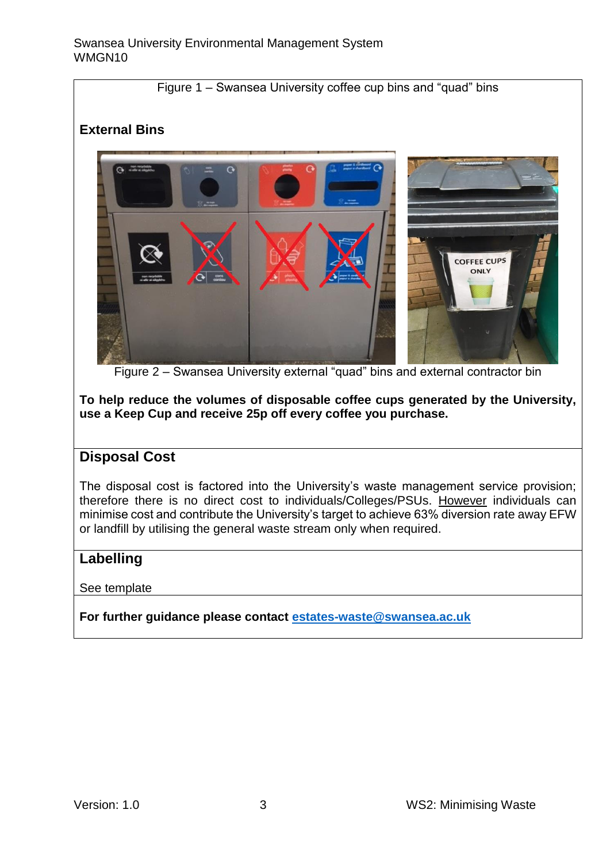Figure 1 – Swansea University coffee cup bins and "quad" bins

### **External Bins**



Figure 2 – Swansea University external "quad" bins and external contractor bin

**To help reduce the volumes of disposable coffee cups generated by the University, use a Keep Cup and receive 25p off every coffee you purchase.** 

#### **Disposal Cost**

The disposal cost is factored into the University's waste management service provision; therefore there is no direct cost to individuals/Colleges/PSUs. However individuals can minimise cost and contribute the University's target to achieve 63% diversion rate away EFW or landfill by utilising the general waste stream only when required.

#### **Labelling**

See template

**For further guidance please contact [estates-waste@swansea.ac.uk](mailto:estates-waste@swansea.ac.uk)**